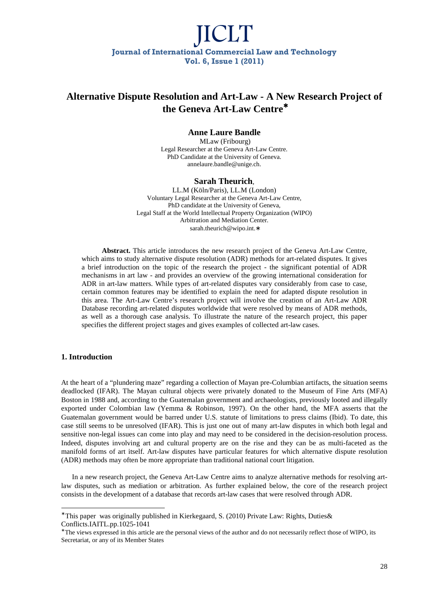### **Alternative Dispute Resolution and Art-Law - A New Research Project of the Geneva Art-Law Centre**<sup>∗</sup>

### **Anne Laure Bandle**

 MLaw (Fribourg) Legal Researcher at the Geneva Art-Law Centre. PhD Candidate at the University of Geneva. annelaure.bandle@unige.ch.

### **Sarah Theurich**,

LL.M (Köln/Paris), LL.M (London) Voluntary Legal Researcher at the Geneva Art-Law Centre, PhD candidate at the University of Geneva, Legal Staff at the World Intellectual Property Organization (WIPO) Arbitration and Mediation Center. sarah.theurich@wipo.int.∗

**Abstract.** This article introduces the new research project of the Geneva Art-Law Centre, which aims to study alternative dispute resolution (ADR) methods for art-related disputes. It gives a brief introduction on the topic of the research the project - the significant potential of ADR mechanisms in art law - and provides an overview of the growing international consideration for ADR in art-law matters. While types of art-related disputes vary considerably from case to case, certain common features may be identified to explain the need for adapted dispute resolution in this area. The Art-Law Centre's research project will involve the creation of an Art-Law ADR Database recording art-related disputes worldwide that were resolved by means of ADR methods, as well as a thorough case analysis. To illustrate the nature of the research project, this paper specifies the different project stages and gives examples of collected art-law cases.

### **1. Introduction**

l

At the heart of a "plundering maze" regarding a collection of Mayan pre-Columbian artifacts, the situation seems deadlocked (IFAR). The Mayan cultural objects were privately donated to the Museum of Fine Arts (MFA) Boston in 1988 and, according to the Guatemalan government and archaeologists, previously looted and illegally exported under Colombian law (Yemma & Robinson, 1997). On the other hand, the MFA asserts that the Guatemalan government would be barred under U.S. statute of limitations to press claims (Ibid). To date, this case still seems to be unresolved (IFAR). This is just one out of many art-law disputes in which both legal and sensitive non-legal issues can come into play and may need to be considered in the decision-resolution process. Indeed, disputes involving art and cultural property are on the rise and they can be as multi-faceted as the manifold forms of art itself. Art-law disputes have particular features for which alternative dispute resolution (ADR) methods may often be more appropriate than traditional national court litigation.

In a new research project, the Geneva Art-Law Centre aims to analyze alternative methods for resolving artlaw disputes, such as mediation or arbitration. As further explained below, the core of the research project consists in the development of a database that records art-law cases that were resolved through ADR.

<sup>∗</sup> This paper was originally published in Kierkegaard, S. (2010) Private Law: Rights, Duties& Conflicts.IAITL.pp.1025-1041

<sup>∗</sup> The views expressed in this article are the personal views of the author and do not necessarily reflect those of WIPO, its Secretariat, or any of its Member States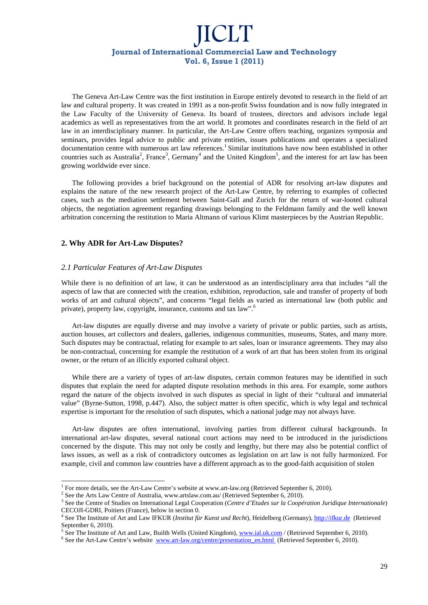The Geneva Art-Law Centre was the first institution in Europe entirely devoted to research in the field of art law and cultural property. It was created in 1991 as a non-profit Swiss foundation and is now fully integrated in the Law Faculty of the University of Geneva. Its board of trustees, directors and advisors include legal academics as well as representatives from the art world. It promotes and coordinates research in the field of art law in an interdisciplinary manner. In particular, the Art-Law Centre offers teaching, organizes symposia and seminars, provides legal advice to public and private entities, issues publications and operates a specialized documentation centre with numerous art law references.<sup>1</sup> Similar institutions have now been established in other countries such as Australia<sup>2</sup>, France<sup>3</sup>, Germany<sup>4</sup> and the United Kingdom<sup>5</sup>, and the interest for art law has been growing worldwide ever since.

The following provides a brief background on the potential of ADR for resolving art-law disputes and explains the nature of the new research project of the Art-Law Centre, by referring to examples of collected cases, such as the mediation settlement between Saint-Gall and Zurich for the return of war-looted cultural objects, the negotiation agreement regarding drawings belonging to the Feldmann family and the well known arbitration concerning the restitution to Maria Altmann of various Klimt masterpieces by the Austrian Republic.

### **2. Why ADR for Art-Law Disputes?**

-

#### *2.1 Particular Features of Art-Law Disputes*

While there is no definition of art law, it can be understood as an interdisciplinary area that includes "all the aspects of law that are connected with the creation, exhibition, reproduction, sale and transfer of property of both works of art and cultural objects", and concerns "legal fields as varied as international law (both public and private), property law, copyright, insurance, customs and tax law".<sup>6</sup>

Art-law disputes are equally diverse and may involve a variety of private or public parties, such as artists, auction houses, art collectors and dealers, galleries, indigenous communities, museums, States, and many more. Such disputes may be contractual, relating for example to art sales, loan or insurance agreements. They may also be non-contractual, concerning for example the restitution of a work of art that has been stolen from its original owner, or the return of an illicitly exported cultural object.

While there are a variety of types of art-law disputes, certain common features may be identified in such disputes that explain the need for adapted dispute resolution methods in this area. For example, some authors regard the nature of the objects involved in such disputes as special in light of their "cultural and immaterial value" (Byrne-Sutton, 1998, p.447). Also, the subject matter is often specific, which is why legal and technical expertise is important for the resolution of such disputes, which a national judge may not always have.

Art-law disputes are often international, involving parties from different cultural backgrounds. In international art-law disputes, several national court actions may need to be introduced in the jurisdictions concerned by the dispute. This may not only be costly and lengthy, but there may also be potential conflict of laws issues, as well as a risk of contradictory outcomes as legislation on art law is not fully harmonized. For example, civil and common law countries have a different approach as to the good-faith acquisition of stolen

<sup>&</sup>lt;sup>1</sup> For more details, see the Art-Law Centre's website at www.art-law.org (Retrieved September 6, 2010).

<sup>&</sup>lt;sup>2</sup> See the Arts Law Centre of Australia, www.artslaw.com.au/ (Retrieved September 6, 2010).

<sup>3</sup> See the Centre of Studies on International Legal Cooperation (*Centre d'Etudes sur la Coopération Juridique Internationale*) CECOJI-GDRI, Poitiers (France), below in section 0.

<sup>4</sup> See The Institute of Art and Law IFKUR (*Institut für Kunst und Recht*), Heidelberg (Germany), http://ifkur.de (Retrieved September 6, 2010).<br> $5 S_{0.0}$  The Institute of

See The Institute of Art and Law, Builth Wells (United Kingdom), www.ial.uk.com / (Retrieved September 6, 2010).

<sup>&</sup>lt;sup>6</sup> See the Art-Law Centre's website www.art-law.org/centre/presentation\_en.html (Retrieved September 6, 2010).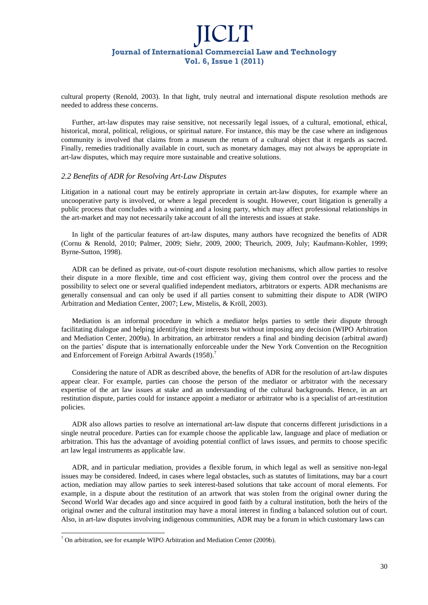cultural property (Renold, 2003). In that light, truly neutral and international dispute resolution methods are needed to address these concerns.

Further, art-law disputes may raise sensitive, not necessarily legal issues, of a cultural, emotional, ethical, historical, moral, political, religious, or spiritual nature. For instance, this may be the case where an indigenous community is involved that claims from a museum the return of a cultural object that it regards as sacred. Finally, remedies traditionally available in court, such as monetary damages, may not always be appropriate in art-law disputes, which may require more sustainable and creative solutions.

#### *2.2 Benefits of ADR for Resolving Art-Law Disputes*

Litigation in a national court may be entirely appropriate in certain art-law disputes, for example where an uncooperative party is involved, or where a legal precedent is sought. However, court litigation is generally a public process that concludes with a winning and a losing party, which may affect professional relationships in the art-market and may not necessarily take account of all the interests and issues at stake.

In light of the particular features of art-law disputes, many authors have recognized the benefits of ADR (Cornu & Renold, 2010; Palmer, 2009; Siehr, 2009, 2000; Theurich, 2009, July; Kaufmann-Kohler, 1999; Byrne-Sutton, 1998).

ADR can be defined as private, out-of-court dispute resolution mechanisms, which allow parties to resolve their dispute in a more flexible, time and cost efficient way, giving them control over the process and the possibility to select one or several qualified independent mediators, arbitrators or experts. ADR mechanisms are generally consensual and can only be used if all parties consent to submitting their dispute to ADR (WIPO Arbitration and Mediation Center, 2007; Lew, Mistelis, & Kröll, 2003).

Mediation is an informal procedure in which a mediator helps parties to settle their dispute through facilitating dialogue and helping identifying their interests but without imposing any decision (WIPO Arbitration and Mediation Center, 2009a). In arbitration, an arbitrator renders a final and binding decision (arbitral award) on the parties' dispute that is internationally enforceable under the New York Convention on the Recognition and Enforcement of Foreign Arbitral Awards (1958).<sup>7</sup>

Considering the nature of ADR as described above, the benefits of ADR for the resolution of art-law disputes appear clear. For example, parties can choose the person of the mediator or arbitrator with the necessary expertise of the art law issues at stake and an understanding of the cultural backgrounds. Hence, in an art restitution dispute, parties could for instance appoint a mediator or arbitrator who is a specialist of art-restitution policies.

ADR also allows parties to resolve an international art-law dispute that concerns different jurisdictions in a single neutral procedure. Parties can for example choose the applicable law, language and place of mediation or arbitration. This has the advantage of avoiding potential conflict of laws issues, and permits to choose specific art law legal instruments as applicable law.

ADR, and in particular mediation, provides a flexible forum, in which legal as well as sensitive non-legal issues may be considered. Indeed, in cases where legal obstacles, such as statutes of limitations, may bar a court action, mediation may allow parties to seek interest-based solutions that take account of moral elements. For example, in a dispute about the restitution of an artwork that was stolen from the original owner during the Second World War decades ago and since acquired in good faith by a cultural institution, both the heirs of the original owner and the cultural institution may have a moral interest in finding a balanced solution out of court. Also, in art-law disputes involving indigenous communities, ADR may be a forum in which customary laws can

l

 $<sup>7</sup>$  On arbitration, see for example WIPO Arbitration and Mediation Center (2009b).</sup>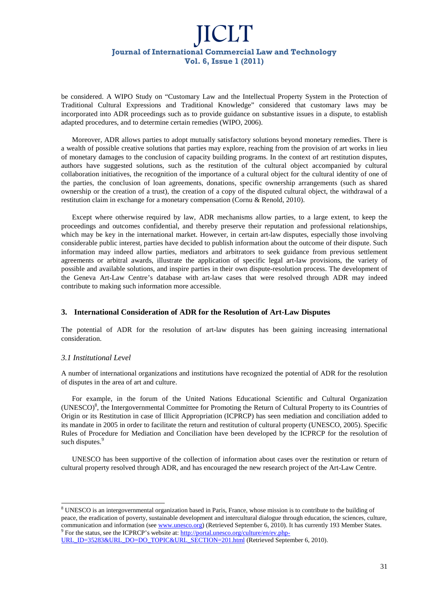be considered. A WIPO Study on "Customary Law and the Intellectual Property System in the Protection of Traditional Cultural Expressions and Traditional Knowledge" considered that customary laws may be incorporated into ADR proceedings such as to provide guidance on substantive issues in a dispute, to establish adapted procedures, and to determine certain remedies (WIPO, 2006).

Moreover, ADR allows parties to adopt mutually satisfactory solutions beyond monetary remedies. There is a wealth of possible creative solutions that parties may explore, reaching from the provision of art works in lieu of monetary damages to the conclusion of capacity building programs. In the context of art restitution disputes, authors have suggested solutions, such as the restitution of the cultural object accompanied by cultural collaboration initiatives, the recognition of the importance of a cultural object for the cultural identity of one of the parties, the conclusion of loan agreements, donations, specific ownership arrangements (such as shared ownership or the creation of a trust), the creation of a copy of the disputed cultural object, the withdrawal of a restitution claim in exchange for a monetary compensation (Cornu & Renold, 2010).

Except where otherwise required by law, ADR mechanisms allow parties, to a large extent, to keep the proceedings and outcomes confidential, and thereby preserve their reputation and professional relationships, which may be key in the international market. However, in certain art-law disputes, especially those involving considerable public interest, parties have decided to publish information about the outcome of their dispute. Such information may indeed allow parties, mediators and arbitrators to seek guidance from previous settlement agreements or arbitral awards, illustrate the application of specific legal art-law provisions, the variety of possible and available solutions, and inspire parties in their own dispute-resolution process. The development of the Geneva Art-Law Centre's database with art-law cases that were resolved through ADR may indeed contribute to making such information more accessible.

### **3. International Consideration of ADR for the Resolution of Art-Law Disputes**

The potential of ADR for the resolution of art-law disputes has been gaining increasing international consideration.

### *3.1 Institutional Level*

-

A number of international organizations and institutions have recognized the potential of ADR for the resolution of disputes in the area of art and culture.

For example, in the forum of the United Nations Educational Scientific and Cultural Organization (UNESCO)<sup>8</sup> , the Intergovernmental Committee for Promoting the Return of Cultural Property to its Countries of Origin or its Restitution in case of Illicit Appropriation (ICPRCP) has seen mediation and conciliation added to its mandate in 2005 in order to facilitate the return and restitution of cultural property (UNESCO, 2005). Specific Rules of Procedure for Mediation and Conciliation have been developed by the ICPRCP for the resolution of such disputes.<sup>9</sup>

UNESCO has been supportive of the collection of information about cases over the restitution or return of cultural property resolved through ADR, and has encouraged the new research project of the Art-Law Centre.

<sup>&</sup>lt;sup>8</sup> UNESCO is an intergovernmental organization based in Paris, France, whose mission is to contribute to the building of peace, the eradication of poverty, sustainable development and intercultural dialogue through education, the sciences, culture, communication and information (see www.unesco.org) (Retrieved September 6, 2010). It has currently 193 Member States.<br><sup>9</sup> For the status, see the ICPRCP's website at: http://portal.unesco.org/culture/en/ev.php-

URL\_ID=35283&URL\_DO=DO\_TOPIC&URL\_SECTION=201.html (Retrieved September 6, 2010).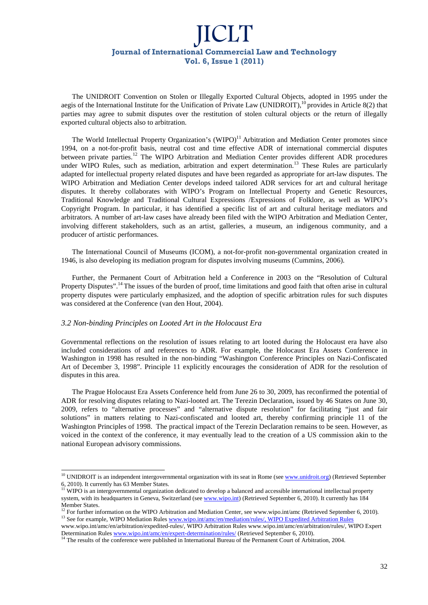The UNIDROIT Convention on Stolen or Illegally Exported Cultural Objects, adopted in 1995 under the aegis of the International Institute for the Unification of Private Law (UNIDROIT),<sup>10</sup> provides in Article 8(2) that parties may agree to submit disputes over the restitution of stolen cultural objects or the return of illegally exported cultural objects also to arbitration.

The World Intellectual Property Organization's (WIPO)<sup>11</sup> Arbitration and Mediation Center promotes since 1994, on a not-for-profit basis, neutral cost and time effective ADR of international commercial disputes between private parties.<sup>12</sup> The WIPO Arbitration and Mediation Center provides different ADR procedures under WIPO Rules, such as mediation, arbitration and expert determination.<sup>13</sup> These Rules are particularly adapted for intellectual property related disputes and have been regarded as appropriate for art-law disputes. The WIPO Arbitration and Mediation Center develops indeed tailored ADR services for art and cultural heritage disputes. It thereby collaborates with WIPO's Program on Intellectual Property and Genetic Resources, Traditional Knowledge and Traditional Cultural Expressions /Expressions of Folklore, as well as WIPO's Copyright Program. In particular, it has identified a specific list of art and cultural heritage mediators and arbitrators. A number of art-law cases have already been filed with the WIPO Arbitration and Mediation Center, involving different stakeholders, such as an artist, galleries, a museum, an indigenous community, and a producer of artistic performances.

The International Council of Museums (ICOM), a not-for-profit non-governmental organization created in 1946, is also developing its mediation program for disputes involving museums (Cummins, 2006).

Further, the Permanent Court of Arbitration held a Conference in 2003 on the "Resolution of Cultural Property Disputes".<sup>14</sup>The issues of the burden of proof, time limitations and good faith that often arise in cultural property disputes were particularly emphasized, and the adoption of specific arbitration rules for such disputes was considered at the Conference (van den Hout, 2004).

#### *3.2 Non-binding Principles on Looted Art in the Holocaust Era*

-

Governmental reflections on the resolution of issues relating to art looted during the Holocaust era have also included considerations of and references to ADR. For example, the Holocaust Era Assets Conference in Washington in 1998 has resulted in the non-binding "Washington Conference Principles on Nazi-Confiscated Art of December 3, 1998". Principle 11 explicitly encourages the consideration of ADR for the resolution of disputes in this area.

The Prague Holocaust Era Assets Conference held from June 26 to 30, 2009, has reconfirmed the potential of ADR for resolving disputes relating to Nazi-looted art. The Terezin Declaration, issued by 46 States on June 30, 2009, refers to "alternative processes" and "alternative dispute resolution" for facilitating "just and fair solutions" in matters relating to Nazi-confiscated and looted art, thereby confirming principle 11 of the Washington Principles of 1998. The practical impact of the Terezin Declaration remains to be seen. However, as voiced in the context of the conference, it may eventually lead to the creation of a US commission akin to the national European advisory commissions.

<sup>&</sup>lt;sup>10</sup> UNIDROIT is an independent intergovernmental organization with its seat in Rome (see www.unidroit.org) (Retrieved September 6, 2010). It currently has 63 Member States.

<sup>&</sup>lt;sup>11</sup> WIPO is an intergovernmental organization dedicated to develop a balanced and accessible international intellectual property system, with its headquarters in Geneva, Switzerland (see www.wipo.int) (Retrieved September 6, 2010). It currently has 184 Member States.

<sup>&</sup>lt;sup>12</sup> For further information on the WIPO Arbitration and Mediation Center, see www.wipo.int/amc (Retrieved September 6, 2010). <sup>13</sup> See for example, WIPO Mediation Rules www.wipo.int/amc/en/mediation/rules/, WIPO Expedited Arbitration Rules

www.wipo.int/amc/en/arbitration/expedited-rules/, WIPO Arbitration Rules www.wipo.int/amc/en/arbitration/rules/, WIPO Expert Determination Rules www.wipo.int/amc/en/expert-determination/rules/ (Retrieved September 6, 2010).

<sup>&</sup>lt;sup>14</sup> The results of the conference were published in International Bureau of the Permanent Court of Arbitration, 2004.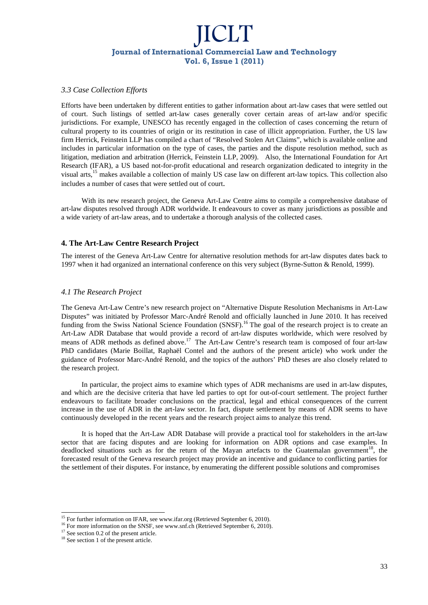### *3.3 Case Collection Efforts*

Efforts have been undertaken by different entities to gather information about art-law cases that were settled out of court. Such listings of settled art-law cases generally cover certain areas of art-law and/or specific jurisdictions. For example, UNESCO has recently engaged in the collection of cases concerning the return of cultural property to its countries of origin or its restitution in case of illicit appropriation. Further, the US law firm Herrick, Feinstein LLP has compiled a chart of "Resolved Stolen Art Claims", which is available online and includes in particular information on the type of cases, the parties and the dispute resolution method, such as litigation, mediation and arbitration (Herrick, Feinstein LLP, 2009). Also, the International Foundation for Art Research (IFAR), a US based not-for-profit educational and research organization dedicated to integrity in the visual arts,<sup>15</sup> makes available a collection of mainly US case law on different art-law topics. This collection also includes a number of cases that were settled out of court.

With its new research project, the Geneva Art-Law Centre aims to compile a comprehensive database of art-law disputes resolved through ADR worldwide. It endeavours to cover as many jurisdictions as possible and a wide variety of art-law areas, and to undertake a thorough analysis of the collected cases.

### **4. The Art-Law Centre Research Project**

The interest of the Geneva Art-Law Centre for alternative resolution methods for art-law disputes dates back to 1997 when it had organized an international conference on this very subject (Byrne-Sutton & Renold, 1999).

### *4.1 The Research Project*

The Geneva Art-Law Centre's new research project on "Alternative Dispute Resolution Mechanisms in Art-Law Disputes" was initiated by Professor Marc-André Renold and officially launched in June 2010. It has received funding from the Swiss National Science Foundation (SNSF).<sup>16</sup> The goal of the research project is to create an Art-Law ADR Database that would provide a record of art-law disputes worldwide, which were resolved by means of ADR methods as defined above.<sup>17</sup> The Art-Law Centre's research team is composed of four art-law PhD candidates (Marie Boillat, Raphaël Contel and the authors of the present article) who work under the guidance of Professor Marc-André Renold, and the topics of the authors' PhD theses are also closely related to the research project.

In particular, the project aims to examine which types of ADR mechanisms are used in art-law disputes, and which are the decisive criteria that have led parties to opt for out-of-court settlement. The project further endeavours to facilitate broader conclusions on the practical, legal and ethical consequences of the current increase in the use of ADR in the art-law sector. In fact, dispute settlement by means of ADR seems to have continuously developed in the recent years and the research project aims to analyze this trend.

It is hoped that the Art-Law ADR Database will provide a practical tool for stakeholders in the art-law sector that are facing disputes and are looking for information on ADR options and case examples. In deadlocked situations such as for the return of the Mayan artefacts to the Guatemalan government<sup>18</sup>, the forecasted result of the Geneva research project may provide an incentive and guidance to conflicting parties for the settlement of their disputes. For instance, by enumerating the different possible solutions and compromises

l

<sup>&</sup>lt;sup>15</sup> For further information on IFAR, see www.ifar.org (Retrieved September 6, 2010).

<sup>&</sup>lt;sup>16</sup> For more information on the SNSF, see www.snf.ch (Retrieved September 6, 2010).

<sup>&</sup>lt;sup>17</sup> See section 0.2 of the present article.

<sup>&</sup>lt;sup>18</sup> See section 1 of the present article.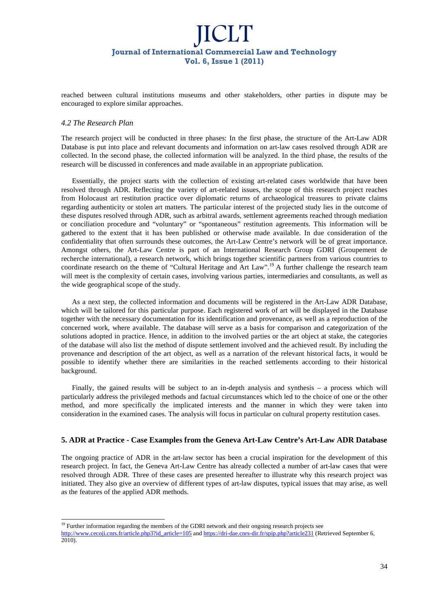reached between cultural institutions museums and other stakeholders, other parties in dispute may be encouraged to explore similar approaches.

### *4.2 The Research Plan*

l

The research project will be conducted in three phases: In the first phase, the structure of the Art-Law ADR Database is put into place and relevant documents and information on art-law cases resolved through ADR are collected. In the second phase, the collected information will be analyzed. In the third phase, the results of the research will be discussed in conferences and made available in an appropriate publication.

Essentially, the project starts with the collection of existing art-related cases worldwide that have been resolved through ADR. Reflecting the variety of art-related issues, the scope of this research project reaches from Holocaust art restitution practice over diplomatic returns of archaeological treasures to private claims regarding authenticity or stolen art matters. The particular interest of the projected study lies in the outcome of these disputes resolved through ADR, such as arbitral awards, settlement agreements reached through mediation or conciliation procedure and "voluntary" or "spontaneous" restitution agreements. This information will be gathered to the extent that it has been published or otherwise made available. In due consideration of the confidentiality that often surrounds these outcomes, the Art-Law Centre's network will be of great importance. Amongst others, the Art-Law Centre is part of an International Research Group GDRI (Groupement de recherche international), a research network, which brings together scientific partners from various countries to coordinate research on the theme of "Cultural Heritage and Art Law".<sup>19</sup> A further challenge the research team will meet is the complexity of certain cases, involving various parties, intermediaries and consultants, as well as the wide geographical scope of the study.

As a next step, the collected information and documents will be registered in the Art-Law ADR Database, which will be tailored for this particular purpose. Each registered work of art will be displayed in the Database together with the necessary documentation for its identification and provenance, as well as a reproduction of the concerned work, where available. The database will serve as a basis for comparison and categorization of the solutions adopted in practice. Hence, in addition to the involved parties or the art object at stake, the categories of the database will also list the method of dispute settlement involved and the achieved result. By including the provenance and description of the art object, as well as a narration of the relevant historical facts, it would be possible to identify whether there are similarities in the reached settlements according to their historical background.

Finally, the gained results will be subject to an in-depth analysis and synthesis – a process which will particularly address the privileged methods and factual circumstances which led to the choice of one or the other method, and more specifically the implicated interests and the manner in which they were taken into consideration in the examined cases. The analysis will focus in particular on cultural property restitution cases.

### **5. ADR at Practice - Case Examples from the Geneva Art-Law Centre's Art-Law ADR Database**

The ongoing practice of ADR in the art-law sector has been a crucial inspiration for the development of this research project. In fact, the Geneva Art-Law Centre has already collected a number of art-law cases that were resolved through ADR. Three of these cases are presented hereafter to illustrate why this research project was initiated. They also give an overview of different types of art-law disputes, typical issues that may arise, as well as the features of the applied ADR methods.

<sup>&</sup>lt;sup>19</sup> Further information regarding the members of the GDRI network and their ongoing research projects see http://www.cecoji.cnrs.fr/article.php3?id\_article=105 and https://dri-dae.cnrs-dir.fr/spip.php?article231 (Retrieved September 6, 2010).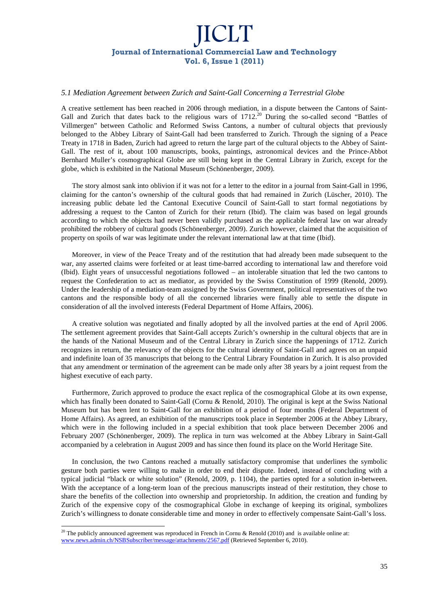#### *5.1 Mediation Agreement between Zurich and Saint-Gall Concerning a Terrestrial Globe*

A creative settlement has been reached in 2006 through mediation, in a dispute between the Cantons of Saint-Gall and Zurich that dates back to the religious wars of 1712.<sup>20</sup> During the so-called second "Battles of Villmergen" between Catholic and Reformed Swiss Cantons, a number of cultural objects that previously belonged to the Abbey Library of Saint-Gall had been transferred to Zurich. Through the signing of a Peace Treaty in 1718 in Baden, Zurich had agreed to return the large part of the cultural objects to the Abbey of Saint-Gall. The rest of it, about 100 manuscripts, books, paintings, astronomical devices and the Prince-Abbot Bernhard Muller's cosmographical Globe are still being kept in the Central Library in Zurich, except for the globe, which is exhibited in the National Museum (Schönenberger, 2009).

The story almost sank into oblivion if it was not for a letter to the editor in a journal from Saint-Gall in 1996, claiming for the canton's ownership of the cultural goods that had remained in Zurich (Lüscher, 2010). The increasing public debate led the Cantonal Executive Council of Saint-Gall to start formal negotiations by addressing a request to the Canton of Zurich for their return (Ibid). The claim was based on legal grounds according to which the objects had never been validly purchased as the applicable federal law on war already prohibited the robbery of cultural goods (Schönenberger, 2009). Zurich however, claimed that the acquisition of property on spoils of war was legitimate under the relevant international law at that time (Ibid).

Moreover, in view of the Peace Treaty and of the restitution that had already been made subsequent to the war, any asserted claims were forfeited or at least time-barred according to international law and therefore void (Ibid). Eight years of unsuccessful negotiations followed – an intolerable situation that led the two cantons to request the Confederation to act as mediator, as provided by the Swiss Constitution of 1999 (Renold, 2009). Under the leadership of a mediation-team assigned by the Swiss Government, political representatives of the two cantons and the responsible body of all the concerned libraries were finally able to settle the dispute in consideration of all the involved interests (Federal Department of Home Affairs, 2006).

A creative solution was negotiated and finally adopted by all the involved parties at the end of April 2006. The settlement agreement provides that Saint-Gall accepts Zurich's ownership in the cultural objects that are in the hands of the National Museum and of the Central Library in Zurich since the happenings of 1712. Zurich recognizes in return, the relevancy of the objects for the cultural identity of Saint-Gall and agrees on an unpaid and indefinite loan of 35 manuscripts that belong to the Central Library Foundation in Zurich. It is also provided that any amendment or termination of the agreement can be made only after 38 years by a joint request from the highest executive of each party.

Furthermore, Zurich approved to produce the exact replica of the cosmographical Globe at its own expense, which has finally been donated to Saint-Gall (Cornu & Renold, 2010). The original is kept at the Swiss National Museum but has been lent to Saint-Gall for an exhibition of a period of four months (Federal Department of Home Affairs). As agreed, an exhibition of the manuscripts took place in September 2006 at the Abbey Library, which were in the following included in a special exhibition that took place between December 2006 and February 2007 (Schönenberger, 2009). The replica in turn was welcomed at the Abbey Library in Saint-Gall accompanied by a celebration in August 2009 and has since then found its place on the World Heritage Site.

In conclusion, the two Cantons reached a mutually satisfactory compromise that underlines the symbolic gesture both parties were willing to make in order to end their dispute. Indeed, instead of concluding with a typical judicial "black or white solution" (Renold, 2009, p. 1104), the parties opted for a solution in-between. With the acceptance of a long-term loan of the precious manuscripts instead of their restitution, they chose to share the benefits of the collection into ownership and proprietorship. In addition, the creation and funding by Zurich of the expensive copy of the cosmographical Globe in exchange of keeping its original, symbolizes Zurich's willingness to donate considerable time and money in order to effectively compensate Saint-Gall's loss.

l

<sup>&</sup>lt;sup>20</sup> The publicly announced agreement was reproduced in French in Cornu & Renold (2010) and is available online at: www.news.admin.ch/NSBSubscriber/message/attachments/2567.pdf (Retrieved September 6, 2010).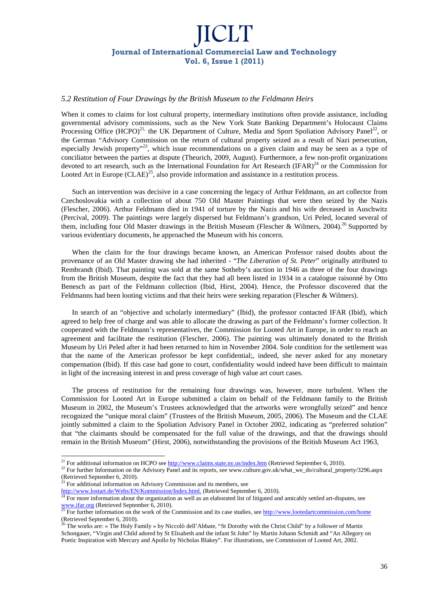### *5.2 Restitution of Four Drawings by the British Museum to the Feldmann Heirs*

When it comes to claims for lost cultural property, intermediary institutions often provide assistance, including governmental advisory commissions, such as the New York State Banking Department's Holocaust Claims Processing Office  $(HCPO)^{21}$ , the UK Department of Culture, Media and Sport Spoliation Advisory Panel<sup>22</sup>, or the German "Advisory Commission on the return of cultural property seized as a result of Nazi persecution, especially Jewish property"<sup>23</sup>, which issue recommendations on a given claim and may be seen as a type of conciliator between the parties at dispute (Theurich, 2009, August). Furthermore, a few non-profit organizations devoted to art research, such as the International Foundation for Art Research (IFAR)<sup>24</sup> or the Commission for Looted Art in Europe  $(CLAE)^{25}$ , also provide information and assistance in a restitution process.

Such an intervention was decisive in a case concerning the legacy of Arthur Feldmann, an art collector from Czechoslovakia with a collection of about 750 Old Master Paintings that were then seized by the Nazis (Flescher, 2006). Arthur Feldmann died in 1941 of torture by the Nazis and his wife deceased in Auschwitz (Percival, 2009). The paintings were largely dispersed but Feldmann's grandson, Uri Peled, located several of them, including four Old Master drawings in the British Museum (Flescher & Wilmers, 2004).<sup>26</sup> Supported by various evidentiary documents, he approached the Museum with his concern.

When the claim for the four drawings became known, an American Professor raised doubts about the provenance of an Old Master drawing she had inherited - "*The Liberation of St. Peter*" originally attributed to Rembrandt (Ibid). That painting was sold at the same Sotheby's auction in 1946 as three of the four drawings from the British Museum, despite the fact that they had all been listed in 1934 in a catalogue raisonné by Otto Benesch as part of the Feldmann collection (Ibid, Hirst, 2004). Hence, the Professor discovered that the Feldmanns had been looting victims and that their heirs were seeking reparation (Flescher & Wilmers).

In search of an "objective and scholarly intermediary" (Ibid), the professor contacted IFAR (Ibid), which agreed to help free of charge and was able to allocate the drawing as part of the Feldmann's former collection. It cooperated with the Feldmann's representatives, the Commission for Looted Art in Europe, in order to reach an agreement and facilitate the restitution (Flescher, 2006). The painting was ultimately donated to the British Museum by Uri Peled after it had been returned to him in November 2004. Sole condition for the settlement was that the name of the American professor be kept confidential;, indeed, she never asked for any monetary compensation (Ibid). If this case had gone to court, confidentiality would indeed have been difficult to maintain in light of the increasing interest in and press coverage of high value art court cases.

The process of restitution for the remaining four drawings was, however, more turbulent. When the Commission for Looted Art in Europe submitted a claim on behalf of the Feldmann family to the British Museum in 2002, the Museum's Trustees acknowledged that the artworks were wrongfully seized" and hence recognized the "unique moral claim" (Trustees of the British Museum, 2005, 2006). The Museum and the CLAE jointly submitted a claim to the Spoliation Advisory Panel in October 2002, indicating as "preferred solution" that "the claimants should be compensated for the full value of the drawings, and that the drawings should remain in the British Museum" (Hirst, 2006), notwithstanding the provisions of the British Museum Act 1963,

 $^{23}$  For additional information on Advisory Commission and its members, see

-

<sup>&</sup>lt;sup>21</sup> For additional information on HCPO see http://www.claims.state.ny.us/index.htm (Retrieved September 6, 2010).

<sup>&</sup>lt;sup>22</sup> For further Information on the Advisory Panel and its reports, see www.culture.gov.uk/what\_we\_do/cultural\_property/3296.aspx (Retrieved September 6, 2010).

http://www.lostart.de/Webs/EN/Kommission/Index.html. (Retrieved September 6, 2010).

<sup>&</sup>lt;sup>24</sup> For more information about the organization as well as an elaborated list of litigated and amicably settled art-disputes, see www.ifar.org (Retrieved September 6, 2010).

<sup>25</sup> For further information on the work of the Commission and its case studies, see http://www.lootedartcommission.com/home (Retrieved September 6, 2010).

<sup>26</sup> The works are: « The Holy Family » by Niccolò dell'Abbate, "St Dorothy with the Christ Child" by a follower of Martin Schongauer, "Virgin and Child adored by St Elisabeth and the infant St John" by Martin Johann Schmidt and "An Allegory on Poetic Inspiration with Mercury and Apollo by Nicholas Blakey". For illustrations, see Commission of Looted Art, 2002.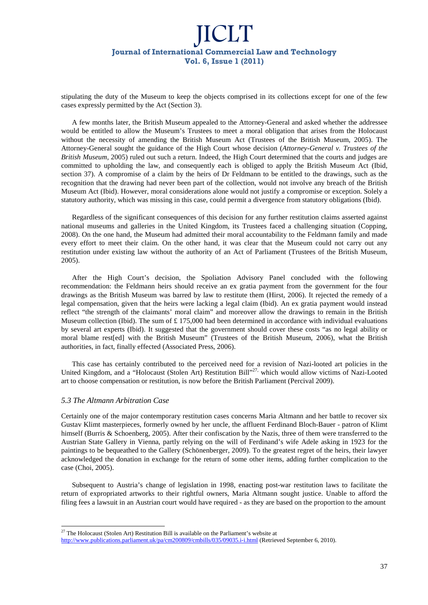stipulating the duty of the Museum to keep the objects comprised in its collections except for one of the few cases expressly permitted by the Act (Section 3).

A few months later, the British Museum appealed to the Attorney-General and asked whether the addressee would be entitled to allow the Museum's Trustees to meet a moral obligation that arises from the Holocaust without the necessity of amending the British Museum Act (Trustees of the British Museum, 2005). The Attorney-General sought the guidance of the High Court whose decision (*Attorney-General v. Trustees of the British Museum*, 2005) ruled out such a return. Indeed, the High Court determined that the courts and judges are committed to upholding the law, and consequently each is obliged to apply the British Museum Act (Ibid, section 37). A compromise of a claim by the heirs of Dr Feldmann to be entitled to the drawings, such as the recognition that the drawing had never been part of the collection, would not involve any breach of the British Museum Act (Ibid). However, moral considerations alone would not justify a compromise or exception. Solely a statutory authority, which was missing in this case, could permit a divergence from statutory obligations (Ibid).

Regardless of the significant consequences of this decision for any further restitution claims asserted against national museums and galleries in the United Kingdom, its Trustees faced a challenging situation (Copping, 2008). On the one hand, the Museum had admitted their moral accountability to the Feldmann family and made every effort to meet their claim. On the other hand, it was clear that the Museum could not carry out any restitution under existing law without the authority of an Act of Parliament (Trustees of the British Museum, 2005).

After the High Court's decision, the Spoliation Advisory Panel concluded with the following recommendation: the Feldmann heirs should receive an ex gratia payment from the government for the four drawings as the British Museum was barred by law to restitute them (Hirst, 2006). It rejected the remedy of a legal compensation, given that the heirs were lacking a legal claim (Ibid). An ex gratia payment would instead reflect "the strength of the claimants' moral claim" and moreover allow the drawings to remain in the British Museum collection (Ibid). The sum of  $\pounds$  175,000 had been determined in accordance with individual evaluations by several art experts (Ibid). It suggested that the government should cover these costs "as no legal ability or moral blame rest[ed] with the British Museum" (Trustees of the British Museum, 2006), what the British authorities, in fact, finally effected (Associated Press, 2006).

This case has certainly contributed to the perceived need for a revision of Nazi-looted art policies in the United Kingdom, and a "Holocaust (Stolen Art) Restitution Bill"<sup>27,</sup> which would allow victims of Nazi-Looted art to choose compensation or restitution, is now before the British Parliament (Percival 2009).

### *5.3 The Altmann Arbitration Case*

l

Certainly one of the major contemporary restitution cases concerns Maria Altmann and her battle to recover six Gustav Klimt masterpieces, formerly owned by her uncle, the affluent Ferdinand Bloch-Bauer - patron of Klimt himself (Burris & Schoenberg, 2005). After their confiscation by the Nazis, three of them were transferred to the Austrian State Gallery in Vienna, partly relying on the will of Ferdinand's wife Adele asking in 1923 for the paintings to be bequeathed to the Gallery (Schönenberger, 2009). To the greatest regret of the heirs, their lawyer acknowledged the donation in exchange for the return of some other items, adding further complication to the case (Choi, 2005).

Subsequent to Austria's change of legislation in 1998, enacting post-war restitution laws to facilitate the return of expropriated artworks to their rightful owners, Maria Altmann sought justice. Unable to afford the filing fees a lawsuit in an Austrian court would have required - as they are based on the proportion to the amount

 $27$  The Holocaust (Stolen Art) Restitution Bill is available on the Parliament's website at

http://www.publications.parliament.uk/pa/cm200809/cmbills/035/09035.i-i.html (Retrieved September 6, 2010).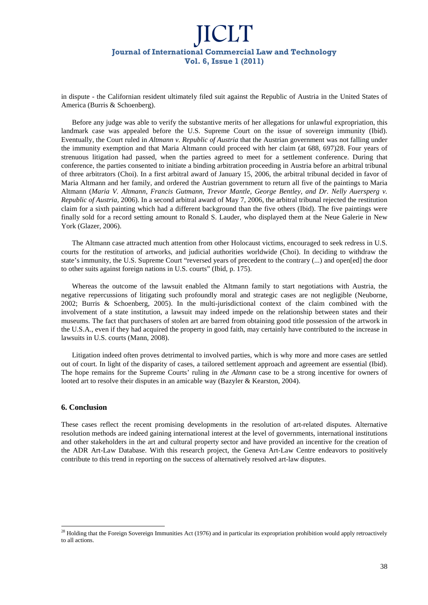in dispute - the Californian resident ultimately filed suit against the Republic of Austria in the United States of America (Burris & Schoenberg).

Before any judge was able to verify the substantive merits of her allegations for unlawful expropriation, this landmark case was appealed before the U.S. Supreme Court on the issue of sovereign immunity (Ibid). Eventually, the Court ruled in *Altmann v. Republic of Austria* that the Austrian government was not falling under the immunity exemption and that Maria Altmann could proceed with her claim (at 688, 697)28. Four years of strenuous litigation had passed, when the parties agreed to meet for a settlement conference. During that conference, the parties consented to initiate a binding arbitration proceeding in Austria before an arbitral tribunal of three arbitrators (Choi). In a first arbitral award of January 15, 2006, the arbitral tribunal decided in favor of Maria Altmann and her family, and ordered the Austrian government to return all five of the paintings to Maria Altmann (*Maria V. Altmann, Francis Gutmann, Trevor Mantle, George Bentley, and Dr. Nelly Auersperg v. Republic of Austria,* 2006). In a second arbitral award of May 7, 2006, the arbitral tribunal rejected the restitution claim for a sixth painting which had a different background than the five others (Ibid). The five paintings were finally sold for a record setting amount to Ronald S. Lauder, who displayed them at the Neue Galerie in New York (Glazer, 2006).

The Altmann case attracted much attention from other Holocaust victims, encouraged to seek redress in U.S. courts for the restitution of artworks, and judicial authorities worldwide (Choi). In deciding to withdraw the state's immunity, the U.S. Supreme Court "reversed years of precedent to the contrary (...) and open[ed] the door to other suits against foreign nations in U.S. courts" (Ibid, p. 175).

Whereas the outcome of the lawsuit enabled the Altmann family to start negotiations with Austria, the negative repercussions of litigating such profoundly moral and strategic cases are not negligible (Neuborne, 2002; Burris & Schoenberg, 2005). In the multi-jurisdictional context of the claim combined with the involvement of a state institution, a lawsuit may indeed impede on the relationship between states and their museums. The fact that purchasers of stolen art are barred from obtaining good title possession of the artwork in the U.S.A., even if they had acquired the property in good faith, may certainly have contributed to the increase in lawsuits in U.S. courts (Mann, 2008).

Litigation indeed often proves detrimental to involved parties, which is why more and more cases are settled out of court. In light of the disparity of cases, a tailored settlement approach and agreement are essential (Ibid). The hope remains for the Supreme Courts' ruling in *the Altmann* case to be a strong incentive for owners of looted art to resolve their disputes in an amicable way (Bazyler & Kearston, 2004).

### **6. Conclusion**

l

These cases reflect the recent promising developments in the resolution of art-related disputes. Alternative resolution methods are indeed gaining international interest at the level of governments, international institutions and other stakeholders in the art and cultural property sector and have provided an incentive for the creation of the ADR Art-Law Database. With this research project, the Geneva Art-Law Centre endeavors to positively contribute to this trend in reporting on the success of alternatively resolved art-law disputes.

 $28$  Holding that the Foreign Sovereign Immunities Act (1976) and in particular its expropriation prohibition would apply retroactively to all actions.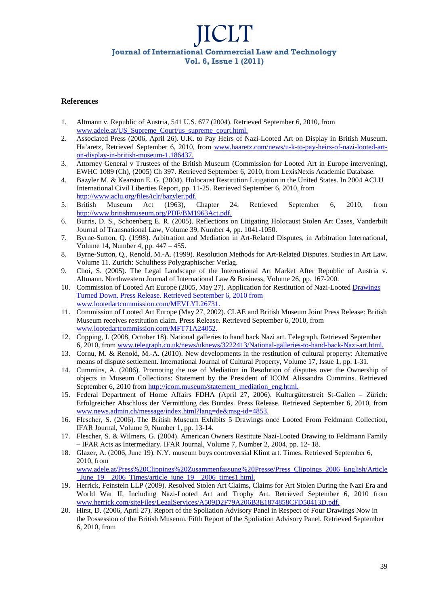### **References**

- 1. Altmann v. Republic of Austria, 541 U.S. 677 (2004). Retrieved September 6, 2010, from www.adele.at/US\_Supreme\_Court/us\_supreme\_court.html.
- 2. Associated Press (2006, April 26). U.K. to Pay Heirs of Nazi-Looted Art on Display in British Museum. Ha'aretz, Retrieved September 6, 2010, from www.haaretz.com/news/u-k-to-pay-heirs-of-nazi-looted-arton-display-in-british-museum-1.186437.
- 3. Attorney General v Trustees of the British Museum (Commission for Looted Art in Europe intervening), EWHC 1089 (Ch), (2005) Ch 397. Retrieved September 6, 2010, from LexisNexis Academic Database.
- 4. Bazyler M. & Kearston E. G. (2004). Holocaust Restitution Litigation in the United States. In 2004 ACLU International Civil Liberties Report, pp. 11-25. Retrieved September 6, 2010, from http://www.aclu.org/files/iclr/bazyler.pdf.
- 5. British Museum Act (1963), Chapter 24. Retrieved September 6, 2010, from http://www.britishmuseum.org/PDF/BM1963Act.pdf.
- 6. Burris, D. S., Schoenberg E. R. (2005). Reflections on Litigating Holocaust Stolen Art Cases, Vanderbilt Journal of Transnational Law, Volume 39, Number 4, pp. 1041-1050.
- 7. Byrne-Sutton, Q. (1998). Arbitration and Mediation in Art-Related Disputes, in Arbitration International, Volume 14, Number 4, pp. 447 – 455.
- 8. Byrne-Sutton, Q., Renold, M.-A. (1999). Resolution Methods for Art-Related Disputes. Studies in Art Law. Volume 11. Zurich: Schulthess Polygraphischer Verlag.
- 9. Choi, S. (2005). The Legal Landscape of the International Art Market After Republic of Austria v. Altmann. Northwestern Journal of International Law & Business, Volume 26, pp. 167-200.
- 10. Commission of Looted Art Europe (2005, May 27). Application for Restitution of Nazi-Looted Drawings Turned Down. Press Release. Retrieved September 6, 2010 from www.lootedartcommission.com/MEVLYL26731.
- 11. Commission of Looted Art Europe (May 27, 2002). CLAE and British Museum Joint Press Release: British Museum receives restitution claim. Press Release. Retrieved September 6, 2010, from www.lootedartcommission.com/MFT71A24052.
- 12. Copping, J. (2008, October 18). National galleries to hand back Nazi art. Telegraph. Retrieved September 6, 2010, from www.telegraph.co.uk/news/uknews/3222413/National-galleries-to-hand-back-Nazi-art.html.
- 13. Cornu, M. & Renold, M.-A. (2010). New developments in the restitution of cultural property: Alternative means of dispute settlement. International Journal of Cultural Property, Volume 17, Issue 1, pp. 1-31.
- 14. Cummins, A. (2006). Promoting the use of Mediation in Resolution of disputes over the Ownership of objects in Museum Collections: Statement by the President of ICOM Alissandra Cummins. Retrieved September 6, 2010 from http://icom.museum/statement\_mediation\_eng.html.
- 15. Federal Department of Home Affairs FDHA (April 27, 2006). Kulturgüterstreit St-Gallen Zürich: Erfolgreicher Abschluss der Vermittlung des Bundes. Press Release. Retrieved September 6, 2010, from www.news.admin.ch/message/index.html?lang=de&msg-id=4853.
- 16. Flescher, S. (2006). The British Museum Exhibits 5 Drawings once Looted From Feldmann Collection, IFAR Journal, Volume 9, Number 1, pp. 13-14.
- 17. Flescher, S. & Wilmers, G. (2004). American Owners Restitute Nazi-Looted Drawing to Feldmann Family – IFAR Acts as Intermediary. IFAR Journal, Volume 7, Number 2, 2004, pp. 12- 18.
- 18. Glazer, A. (2006, June 19). N.Y. museum buys controversial Klimt art. Times. Retrieved September 6, 2010, from www.adele.at/Press%20Clippings%20Zusammenfassung%20Presse/Press\_Clippings\_2006\_English/Article June 19 2006 Times/article june 19 2006 times1.html.
- 19. Herrick, Feinstein LLP (2009). Resolved Stolen Art Claims, Claims for Art Stolen During the Nazi Era and World War II, Including Nazi-Looted Art and Trophy Art. Retrieved September 6, 2010 from www.herrick.com/siteFiles/LegalServices/A509D2F79A206B3E1874858CFD50413D.pdf.
- 20. Hirst, D. (2006, April 27). Report of the Spoliation Advisory Panel in Respect of Four Drawings Now in the Possession of the British Museum. Fifth Report of the Spoliation Advisory Panel. Retrieved September 6, 2010, from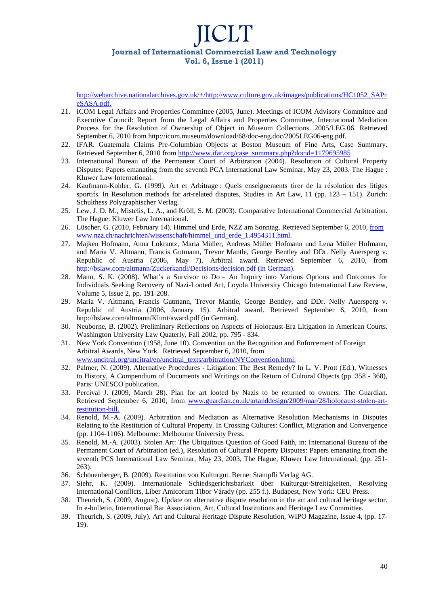http://webarchive.nationalarchives.gov.uk/+/http://www.culture.gov.uk/images/publications/HC1052\_SAPr eSASA.pdf.

- 21. ICOM Legal Affairs and Properties Committee (2005, June). Meetings of ICOM Advisory Committee and Executive Council: Report from the Legal Affairs and Properties Committee, International Mediation Process for the Resolution of Ownership of Object in Museum Collections. 2005/LEG.06. Retrieved September 6, 2010 from http://icom.museum/download/68/doc-eng.doc/2005LEG06-eng.pdf.
- 22. IFAR. Guatemala Claims Pre-Columbian Objects at Boston Museum of Fine Arts, Case Summary. Retrieved September 6, 2010 from http://www.ifar.org/case\_summary.php?docid=1179695985
- 23. International Bureau of the Permanent Court of Arbitration (2004). Resolution of Cultural Property Disputes: Papers emanating from the seventh PCA International Law Seminar, May 23, 2003. The Hague : Kluwer Law International.
- 24. Kaufmann-Kohler, G. (1999). Art et Arbitrage : Quels enseignements tirer de la résolution des litiges sportifs. In Resolution methods for art-related disputes, Studies in Art Law, 11 (pp. 123 – 151). Zurich: Schulthess Polygraphischer Verlag.
- 25. Lew, J. D. M., Mistelis, L. A., and Kröll, S. M. (2003). Comparative International Commercial Arbitration. The Hague: Kluwer Law International.
- 26. Lüscher, G. (2010, February 14). Himmel und Erde, NZZ am Sonntag. Retrieved September 6, 2010, from www.nzz.ch/nachrichten/wissenschaft/himmel\_und\_erde\_1.4954311.html.
- 27. Majken Hofmann, Anna Lokrantz, Maria Müller, Andreas Müller Hofmann und Lena Müller Hofmann, and Maria V. Altmann, Francis Gutmann, Trevor Mantle, George Bentley and DDr. Nelly Auersperg v. Republic of Austria (2006, May 7). Arbitral award. Retrieved September 6, 2010, from http://bslaw.com/altmann/Zuckerkandl/Decisions/decision.pdf (in German).
- 28. Mann, S. K. (2008). What's a Survivor to Do An Inquiry into Various Options and Outcomes for Individuals Seeking Recovery of Nazi-Looted Art, Loyola University Chicago International Law Review, Volume 5, Issue 2, pp. 191-208.
- 29. Maria V. Altmann, Francis Gutmann, Trevor Mantle, George Bentley, and DDr. Nelly Auersperg v. Republic of Austria (2006, January 15). Arbitral award. Retrieved September 6, 2010, from http://bslaw.com/altmann/Klimt/award.pdf (in German).
- 30. Neuborne, B. (2002). Preliminary Reflections on Aspects of Holocaust-Era Litigation in American Courts. Washington University Law Quaterly, Fall 2002, pp. 795 - 834.
- 31. New York Convention (1958, June 10). Convention on the Recognition and Enforcement of Foreign Arbitral Awards, New York. Retrieved September 6, 2010, from www.uncitral.org/uncitral/en/uncitral\_texts/arbitration/NYConvention.html.
- 32. Palmer, N. (2009). Alternative Procedures Litigation: The Best Remedy? In L. V. Prott (Ed.), Witnesses to History, A Compendium of Documents and Writings on the Return of Cultural Objects (pp. 358 - 368), Paris: UNESCO publication.
- 33. Percival J. (2009, March 28). Plan for art looted by Nazis to be returned to owners. The Guardian. Retrieved September 6, 2010, from www.guardian.co.uk/artanddesign/2009/mar/28/holocaust-stolen-artrestitution-bill.
- 34. Renold, M.-A. (2009). Arbitration and Mediation as Alternative Resolution Mechanisms in Disputes Relating to the Restitution of Cultural Property. In Crossing Cultures: Conflict, Migration and Convergence (pp. 1104-1106). Melbourne: Melbourne University Press.
- 35. Renold, M.-A. (2003). Stolen Art: The Ubiquitous Question of Good Faith, in: International Bureau of the Permanent Court of Arbitration (ed.), Resolution of Cultural Property Disputes: Papers emanating from the seventh PCS International Law Seminar, May 23, 2003, The Hague, Kluwer Law International, (pp. 251- 263).
- 36. Schönenberger, B. (2009). Restitution von Kulturgut. Berne: Stämpfli Verlag AG.
- 37. Siehr, K. (2009). Internationale Schiedsgerichtsbarkeit über Kulturgut-Streitigkeiten, Resolving International Conflicts, Liber Amicorum Tibor Várady (pp. 255 f.). Budapest, New York: CEU Press.
- 38. Theurich, S. (2009, August). Update on alternative dispute resolution in the art and cultural heritage sector. In e-bulletin, International Bar Association, Art, Cultural Institutions and Heritage Law Committee.
- 39. Theurich, S. (2009, July). Art and Cultural Heritage Dispute Resolution, WIPO Magazine, Issue 4, (pp. 17- 19).